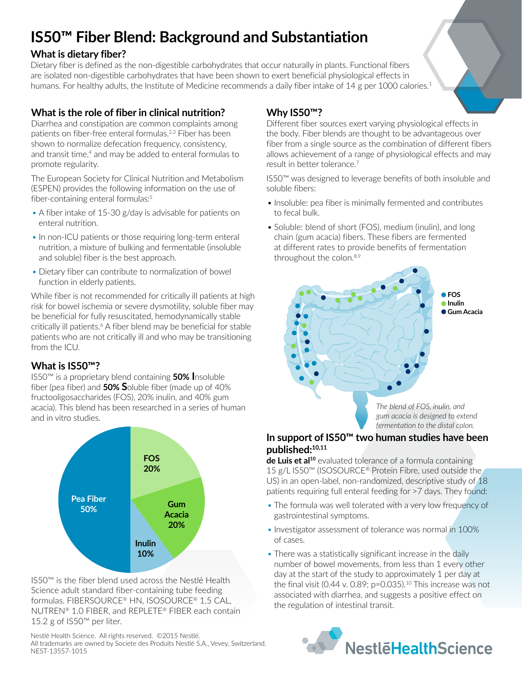# **IS50™ Fiber Blend: Background and Substantiation**

## **What is dietary fiber?**

Dietary fiber is defined as the non-digestible carbohydrates that occur naturally in plants. Functional fibers are isolated non-digestible carbohydrates that have been shown to exert beneficial physiological effects in humans. For healthy adults, the Institute of Medicine recommends a daily fiber intake of 14 g per 1000 calories.<sup>1</sup>

# **What is the role of fiber in clinical nutrition?**

Diarrhea and constipation are common complaints among patients on fiber-free enteral formulas.<sup>2,3</sup> Fiber has been shown to normalize defecation frequency, consistency, and transit time,<sup>4</sup> and may be added to enteral formulas to promote regularity.

The European Society for Clinical Nutrition and Metabolism (ESPEN) provides the following information on the use of fiber-containing enteral formulas:<sup>5</sup>

- A fiber intake of 15-30 g/day is advisable for patients on enteral nutrition.
- In non-ICU patients or those requiring long-term enteral nutrition, a mixture of bulking and fermentable (insoluble and soluble) fiber is the best approach.
- Dietary fiber can contribute to normalization of bowel function in elderly patients.

While fiber is not recommended for critically ill patients at high risk for bowel ischemia or severe dysmotility, soluble fiber may be beneficial for fully resuscitated, hemodynamically stable critically ill patients.<sup>6</sup> A fiber blend may be beneficial for stable patients who are not critically ill and who may be transitioning from the ICU.

### **What is IS50™?**

IS50™ is a proprietary blend containing **50% I**nsoluble fiber (pea fiber) and **50% S**oluble fiber (made up of 40% fructooligosaccharides (FOS), 20% inulin, and 40% gum acacia). This blend has been researched in a series of human and in vitro studies.



IS50™ is the fiber blend used across the Nestlé Health Science adult standard fiber-containing tube feeding formulas. Fibersource® HN, Isosource® 1.5 Cal, NUTREN® 1.0 FIBER, and REPLETE® FIBER each contain 15.2 g of IS50™ per liter.

Nestlé Health Science. All rights reserved. ©2015 Nestlé. All trademarks are owned by Societe des Produits Nestlé S.A., Vevey, Switzerland. NEST-13557-1015

# **Why IS50™?**

Different fiber sources exert varying physiological effects in the body. Fiber blends are thought to be advantageous over fiber from a single source as the combination of different fibers allows achievement of a range of physiological effects and may result in better tolerance.7

IS50™ was designed to leverage benefits of both insoluble and soluble fibers:

- Insoluble: pea fiber is minimally fermented and contributes to fecal bulk.
- Soluble: blend of short (FOS), medium (inulin), and long chain (gum acacia) fibers. These fibers are fermented at different rates to provide benefits of fermentation throughout the colon.<sup>8,9</sup>



#### **In support of IS50™ two human studies have been published:10,11**

**de Luis et al<sup>10</sup>** evaluated tolerance of a formula containing 15 g/L IS50™ (ISOSOURCE® Protein Fibre, used outside the US) in an open-label, non-randomized, descriptive study of 18 patients requiring full enteral feeding for >7 days. They found:

- The formula was well tolerated with a very low frequency of gastrointestinal symptoms.
- Investigator assessment of tolerance was normal in 100% of cases.
- There was a statistically significant increase in the daily number of bowel movements, from less than 1 every other day at the start of the study to approximately 1 per day at the final visit (0.44 v. 0.89;  $p=0.035$ ).<sup>10</sup> This increase was not associated with diarrhea, and suggests a positive effect on the regulation of intestinal transit.